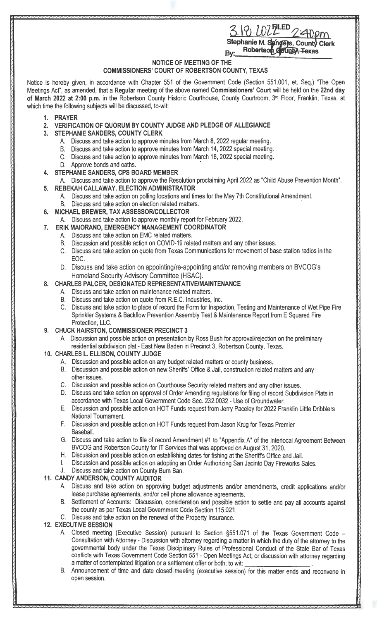# $22$ ELED Stephanie M. Sangers, County Clerk

Robertson County, Texas By:

#### NOTICE OF MEETING OF THE

### **COMMISSIONERS' COURT OF ROBERTSON COUNTY, TEXAS**

Notice is hereby given, in accordance with Chapter 551 of the Government Code (Section 551 .001 , et. Seq.) "The Open Meetings Act", as amended, that a **Regular** meeting of the above named **Commissioners' Court** will be held on the **22nd day of March 2022 at 2:00 p.m.** in the Robertson County Historic Courthouse, County Courtroom, 3rd Floor, Franklin, Texas, at which time the following subjects will be discussed, to-wit:

- **1. PRAYER**
- **2. VERIFICATION OF QUORUM BY COUNTY JUDGE AND PLEDGE OF ALLEGIANCE**
- **3. STEPHANIE SANDERS, COUNTY CLERK** 
	- A. Discuss and take action to approve minutes from March 8, 2022 regular meeting.
	- 8. Discuss and take action to approve minutes from March 14, 2022 special meeting.
	- C. Discuss and take action to approve minutes from March 18, 2022 special meeting.
	- D. Approve bonds and oaths.
- **4. STEPHANIE SANDERS, CPS BOARD MEMBER**
- A. Discuss and take action to approve the Resolution proclaiming April 2022 as "Child Abuse Prevention Month".
- **5. REBEKAH CALLAWAY, ELECTION ADMINISTRATOR** 
	- A. Discuss and take action on polling locations and times for the May 7th Constitutional Amendment.
- B. Discuss and take action on election related matters.
- **6. MICHAEL BREWER, TAX ASSESSOR/COLLECTOR** 
	- A. Discuss and take action to approve monthly report for February 2022.
- **7. ERIK MAIORANO, EMERGENCY MANAGEMENT COORDINATOR** 
	- A. Discuss and take action on EMC related matters.
	- B. Discussion and possible action on COVID-19 related matters and any other issues.
	- C. Discuss and take action on quote from Texas Communications for movement of base station radios in the EOC.
	- D. Discuss and take action on appointing/re-appointing and/or removing members on BVCOG's Homeland Security Advisory Committee (HSAC).

#### **8. CHARLES PALCER, DESIGNATED REPRESENTATIVE/MAINTENANCE**

- A. Discuss and take action on maintenance related matters.
- B. Discuss and take action on quote from R.E.C. Industries, Inc.
- C. Discuss and take action to place of record the Form for Inspection, Testing and Maintenance of Wet Pipe Fire Sprinkler Systems & Backflow Prevention Assembly Test & Maintenance Report from E Squared Fire Protection, LLC.
- **9. CHUCK HAIRSTON, COMMISSIONER PRECINCT 3** 
	- A. Discussion and possible action on presentation by Ross Bush for approval/rejection on the preliminary residential subdivision plat- East New Baden in Precinct 3, Robertson County, Texas.

#### **10. CHARLES L. ELLISON, COUNTY JUDGE**

- A. Discussion and possible action on any budget related matters or county business.
- B. Discussion and possible action on new Sheriffs' Office & Jail, construction related matters and any other issues.
- C. Discussion and possible action on Courthouse Security related matters and any other issues.
- D. Discuss and take action on approval of Order Amending regulations for filing of record Subdivision Plats in accordance with Texas Local Government Code Sec. 232.0032 - Use of Groundwater.
- E. Discussion and possible action on HOT Funds request from Jerry Paceley for 2022 Franklin Little Dribblers National Tournament.
- F. Discussion and possible action on HOT Funds request from Jason Krug for Texas Premier Baseball.
- G. Discuss and take action to file of record Amendment #1 to "Appendix A" of the lnterlocal Agreement Between BVCOG and Robertson County for IT Services that was approved on August 31, 2020.
- H. Discussion and possible action on establishing dates for fishing at the Sheriffs Office and Jail.
- Discussion and possible action on adopting an Order Authorizing San Jacinto Day Fireworks Sales.

## J. Discuss and take action on County Burn Ban.

#### **11. CANDY ANDERSON, COUNTY AUDITOR**

- A. Discuss and take action on approving budget adjustments and/or amendments, credit applications and/or lease purchase agreements, and/or cell phone allowance agreements.
- B. Settlement of Accounts: Discussion, consideration and possible action to settle and pay all accounts against the county as per Texas Local Government Code Section 115.021.
- C. Discuss and take action on the renewal of the Property Insurance.

#### **12. EXECUTIVE SESSION**

- A. Closed meeting (Executive Session) pursuant to Section §551 .071 of the Texas Government Code Consultation with Attorney - Discussion with attorney regarding a matter in which the duty of the attorney to the governmental body under the Texas Disciplinary Rules of Professional Conduct of the State Bar of Texas conflicts with Texas Government Code Section 551 - Open Meetings Act; or discussion with attorney regarding<br>a matter of contemplated litigation or a settlement offer or both; to wit: \_\_\_\_\_\_\_\_\_\_\_\_\_\_\_\_\_\_\_\_\_\_\_\_\_\_\_\_.
- B. Announcement of time and date closed meeting (executive session) for this matter ends and reconvene in open session.